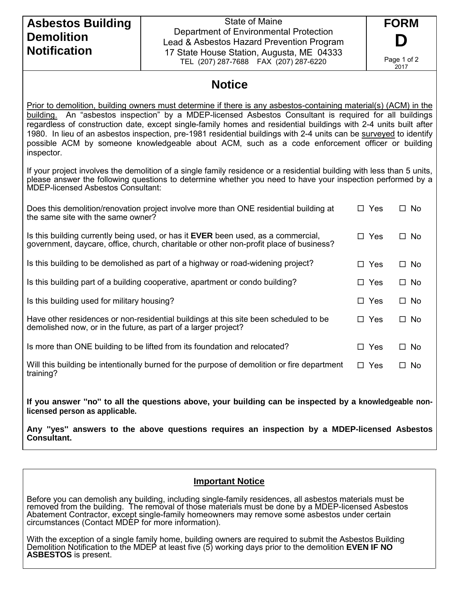## **Asbestos Building Demolition Notification**

State of Maine Department of Environmental Protection Lead & Asbestos Hazard Prevention Program 17 State House Station, Augusta, ME 04333 TEL (207) 287-7688 FAX (207) 287-6220

**FORM D** Page 1 of 2 2017

## **Notice**

Prior to demolition, building owners must determine if there is any asbestos-containing material(s) (ACM) in the building. An "asbestos inspection" by a MDEP-licensed Asbestos Consultant is required for all buildings regardless of construction date, except single-family homes and residential buildings with 2-4 units built after 1980. In lieu of an asbestos inspection, pre-1981 residential buildings with 2-4 units can be surveyed to identify possible ACM by someone knowledgeable about ACM, such as a code enforcement officer or building inspector.

If your project involves the demolition of a single family residence or a residential building with less than 5 units, please answer the following questions to determine whether you need to have your inspection performed by a MDEP-licensed Asbestos Consultant:

| Does this demolition/renovation project involve more than ONE residential building at<br>the same site with the same owner?                                                        | $\Box$ Yes | $\Box$ No |
|------------------------------------------------------------------------------------------------------------------------------------------------------------------------------------|------------|-----------|
| Is this building currently being used, or has it <b>EVER</b> been used, as a commercial,<br>government, daycare, office, church, charitable or other non-profit place of business? | $\Box$ Yes | $\Box$ No |
| Is this building to be demolished as part of a highway or road-widening project?                                                                                                   | $\Box$ Yes | $\Box$ No |
| Is this building part of a building cooperative, apartment or condo building?                                                                                                      | $\Box$ Yes | □ No      |
| Is this building used for military housing?                                                                                                                                        | $\Box$ Yes | $\Box$ No |
| Have other residences or non-residential buildings at this site been scheduled to be<br>demolished now, or in the future, as part of a larger project?                             | $\Box$ Yes | □ No      |
| Is more than ONE building to be lifted from its foundation and relocated?                                                                                                          | $\Box$ Yes | □ No      |
| Will this building be intentionally burned for the purpose of demolition or fire department<br>training?                                                                           | $\Box$ Yes | □ No      |

**If you answer ''no'' to all the questions above, your building can be inspected by a knowledgeable nonlicensed person as applicable.**

**Any ''yes'' answers to the above questions requires an inspection by a MDEP-licensed Asbestos Consultant.** 

## **Important Notice**

Before you can demolish any building, including single-family residences, all asbestos materials must be removed from the building. The removal of those materials must be done by a MDEP-licensed Asbestos Abatement Contractor, except single-family homeowners may remove some asbestos under certain circumstances (Contact MDEP for more information).

With the exception of a single family home, building owners are required to submit the Asbestos Building Demolition Notification to the MDEP at least five (5) working days prior to the demolition **EVEN IF NO ASBESTOS** is present.